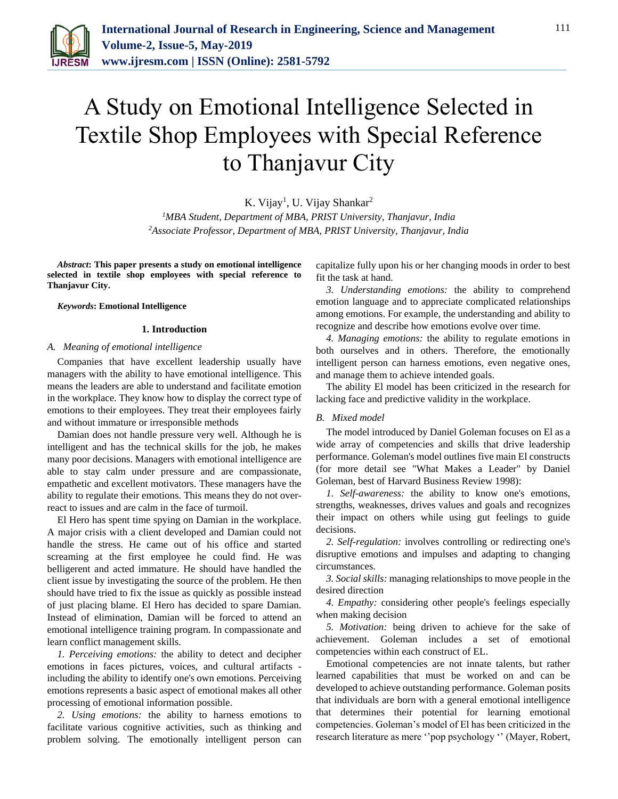

# A Study on Emotional Intelligence Selected in Textile Shop Employees with Special Reference to Thanjavur City

K. Vijay<sup>1</sup>, U. Vijay Shankar<sup>2</sup>

*<sup>1</sup>MBA Student, Department of MBA, PRIST University, Thanjavur, India 2Associate Professor, Department of MBA, PRIST University, Thanjavur, India*

*Abstract***: This paper presents a study on emotional intelligence selected in textile shop employees with special reference to Thanjavur City.**

*Keywords***: Emotional Intelligence**

#### **1. Introduction**

#### *A. Meaning of emotional intelligence*

Companies that have excellent leadership usually have managers with the ability to have emotional intelligence. This means the leaders are able to understand and facilitate emotion in the workplace. They know how to display the correct type of emotions to their employees. They treat their employees fairly and without immature or irresponsible methods

Damian does not handle pressure very well. Although he is intelligent and has the technical skills for the job, he makes many poor decisions. Managers with emotional intelligence are able to stay calm under pressure and are compassionate, empathetic and excellent motivators. These managers have the ability to regulate their emotions. This means they do not overreact to issues and are calm in the face of turmoil.

El Hero has spent time spying on Damian in the workplace. A major crisis with a client developed and Damian could not handle the stress. He came out of his office and started screaming at the first employee he could find. He was belligerent and acted immature. He should have handled the client issue by investigating the source of the problem. He then should have tried to fix the issue as quickly as possible instead of just placing blame. El Hero has decided to spare Damian. Instead of elimination, Damian will be forced to attend an emotional intelligence training program. In compassionate and learn conflict management skills.

*1. Perceiving emotions:* the ability to detect and decipher emotions in faces pictures, voices, and cultural artifacts including the ability to identify one's own emotions. Perceiving emotions represents a basic aspect of emotional makes all other processing of emotional information possible.

*2. Using emotions:* the ability to harness emotions to facilitate various cognitive activities, such as thinking and problem solving. The emotionally intelligent person can capitalize fully upon his or her changing moods in order to best fit the task at hand.

*3. Understanding emotions:* the ability to comprehend emotion language and to appreciate complicated relationships among emotions. For example, the understanding and ability to recognize and describe how emotions evolve over time.

*4. Managing emotions:* the ability to regulate emotions in both ourselves and in others. Therefore, the emotionally intelligent person can harness emotions, even negative ones, and manage them to achieve intended goals.

The ability El model has been criticized in the research for lacking face and predictive validity in the workplace.

#### *B. Mixed model*

The model introduced by Daniel Goleman focuses on El as a wide array of competencies and skills that drive leadership performance. Goleman's model outlines five main El constructs (for more detail see "What Makes a Leader" by Daniel Goleman, best of Harvard Business Review 1998):

*1. Self-awareness:* the ability to know one's emotions, strengths, weaknesses, drives values and goals and recognizes their impact on others while using gut feelings to guide decisions.

*2. Self-regulation:* involves controlling or redirecting one's disruptive emotions and impulses and adapting to changing circumstances.

*3. Social skills:* managing relationships to move people in the desired direction

*4. Empathy:* considering other people's feelings especially when making decision

*5. Motivation:* being driven to achieve for the sake of achievement. Goleman includes a set of emotional competencies within each construct of EL.

Emotional competencies are not innate talents, but rather learned capabilities that must be worked on and can be developed to achieve outstanding performance. Goleman posits that individuals are born with a general emotional intelligence that determines their potential for learning emotional competencies. Goleman's model of El has been criticized in the research literature as mere ''pop psychology '' (Mayer, Robert,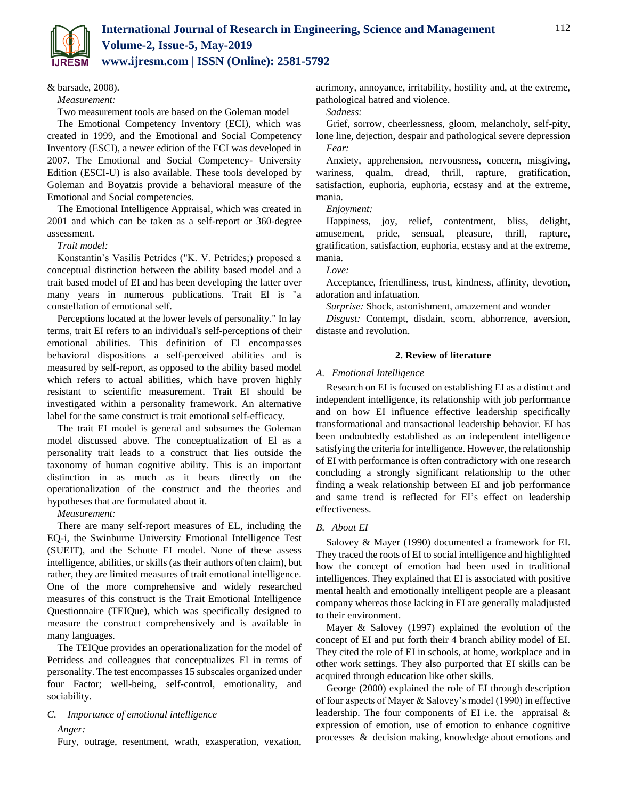

& barsade, 2008).

*Measurement:*

Two measurement tools are based on the Goleman model

The Emotional Competency Inventory (ECI), which was created in 1999, and the Emotional and Social Competency Inventory (ESCI), a newer edition of the ECI was developed in 2007. The Emotional and Social Competency- University Edition (ESCI-U) is also available. These tools developed by Goleman and Boyatzis provide a behavioral measure of the Emotional and Social competencies.

The Emotional Intelligence Appraisal, which was created in 2001 and which can be taken as a self-report or 360-degree assessment.

#### *Trait model:*

Konstantin's Vasilis Petrides ("K. V. Petrides;) proposed a conceptual distinction between the ability based model and a trait based model of EI and has been developing the latter over many years in numerous publications. Trait El is "a constellation of emotional self.

Perceptions located at the lower levels of personality." In lay terms, trait EI refers to an individual's self-perceptions of their emotional abilities. This definition of El encompasses behavioral dispositions a self-perceived abilities and is measured by self-report, as opposed to the ability based model which refers to actual abilities, which have proven highly resistant to scientific measurement. Trait EI should be investigated within a personality framework. An alternative label for the same construct is trait emotional self-efficacy.

The trait EI model is general and subsumes the Goleman model discussed above. The conceptualization of El as a personality trait leads to a construct that lies outside the taxonomy of human cognitive ability. This is an important distinction in as much as it bears directly on the operationalization of the construct and the theories and hypotheses that are formulated about it.

*Measurement:*

There are many self-report measures of EL, including the EQ-i, the Swinburne University Emotional Intelligence Test (SUEIT), and the Schutte EI model. None of these assess intelligence, abilities, or skills (as their authors often claim), but rather, they are limited measures of trait emotional intelligence. One of the more comprehensive and widely researched measures of this construct is the Trait Emotional Intelligence Questionnaire (TEIQue), which was specifically designed to measure the construct comprehensively and is available in many languages.

The TEIQue provides an operationalization for the model of Petridess and colleagues that conceptualizes El in terms of personality. The test encompasses 15 subscales organized under four Factor; well-being, self-control, emotionality, and sociability.

## *C. Importance of emotional intelligence*

*Anger:*

Fury, outrage, resentment, wrath, exasperation, vexation,

acrimony, annoyance, irritability, hostility and, at the extreme, pathological hatred and violence.

*Sadness:*

Grief, sorrow, cheerlessness, gloom, melancholy, self-pity, lone line, dejection, despair and pathological severe depression *Fear:*

Anxiety, apprehension, nervousness, concern, misgiving, wariness, qualm, dread, thrill, rapture, gratification, satisfaction, euphoria, euphoria, ecstasy and at the extreme, mania.

*Enjoyment:*

Happiness, joy, relief, contentment, bliss, delight, amusement, pride, sensual, pleasure, thrill, rapture, gratification, satisfaction, euphoria, ecstasy and at the extreme, mania.

*Love:*

Acceptance, friendliness, trust, kindness, affinity, devotion, adoration and infatuation.

*Surprise:* Shock, astonishment, amazement and wonder

*Disgust:* Contempt, disdain, scorn, abhorrence, aversion, distaste and revolution.

#### **2. Review of literature**

#### *A. Emotional Intelligence*

Research on EI is focused on establishing EI as a distinct and independent intelligence, its relationship with job performance and on how EI influence effective leadership specifically transformational and transactional leadership behavior. EI has been undoubtedly established as an independent intelligence satisfying the criteria for intelligence. However, the relationship of EI with performance is often contradictory with one research concluding a strongly significant relationship to the other finding a weak relationship between EI and job performance and same trend is reflected for EI's effect on leadership effectiveness.

#### *B. About EI*

Salovey & Mayer (1990) documented a framework for EI. They traced the roots of EI to social intelligence and highlighted how the concept of emotion had been used in traditional intelligences. They explained that EI is associated with positive mental health and emotionally intelligent people are a pleasant company whereas those lacking in EI are generally maladjusted to their environment.

Mayer & Salovey (1997) explained the evolution of the concept of EI and put forth their 4 branch ability model of EI. They cited the role of EI in schools, at home, workplace and in other work settings. They also purported that EI skills can be acquired through education like other skills.

George (2000) explained the role of EI through description of four aspects of Mayer & Salovey's model (1990) in effective leadership. The four components of EI i.e. the appraisal & expression of emotion, use of emotion to enhance cognitive processes & decision making, knowledge about emotions and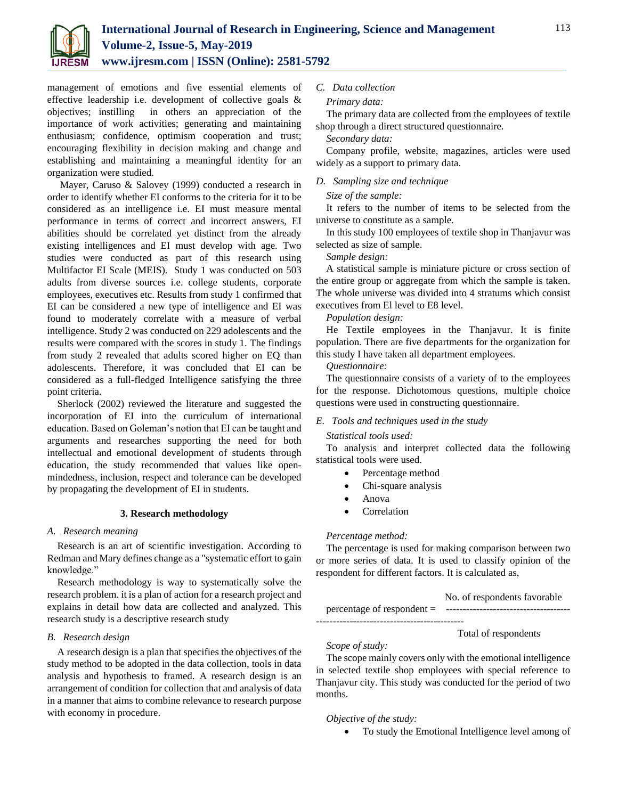

management of emotions and five essential elements of effective leadership i.e. development of collective goals & objectives; instilling in others an appreciation of the importance of work activities; generating and maintaining enthusiasm; confidence, optimism cooperation and trust; encouraging flexibility in decision making and change and establishing and maintaining a meaningful identity for an organization were studied.

Mayer, Caruso & Salovey (1999) conducted a research in order to identify whether EI conforms to the criteria for it to be considered as an intelligence i.e. EI must measure mental performance in terms of correct and incorrect answers, EI abilities should be correlated yet distinct from the already existing intelligences and EI must develop with age. Two studies were conducted as part of this research using Multifactor EI Scale (MEIS). Study 1 was conducted on 503 adults from diverse sources i.e. college students, corporate employees, executives etc. Results from study 1 confirmed that EI can be considered a new type of intelligence and EI was found to moderately correlate with a measure of verbal intelligence. Study 2 was conducted on 229 adolescents and the results were compared with the scores in study 1. The findings from study 2 revealed that adults scored higher on EQ than adolescents. Therefore, it was concluded that EI can be considered as a full-fledged Intelligence satisfying the three point criteria.

Sherlock (2002) reviewed the literature and suggested the incorporation of EI into the curriculum of international education. Based on Goleman's notion that EI can be taught and arguments and researches supporting the need for both intellectual and emotional development of students through education, the study recommended that values like openmindedness, inclusion, respect and tolerance can be developed by propagating the development of EI in students.

#### **3. Research methodology**

#### *A. Research meaning*

Research is an art of scientific investigation. According to Redman and Mary defines change as a "systematic effort to gain knowledge."

Research methodology is way to systematically solve the research problem. it is a plan of action for a research project and explains in detail how data are collected and analyzed. This research study is a descriptive research study

#### *B. Research design*

A research design is a plan that specifies the objectives of the study method to be adopted in the data collection, tools in data analysis and hypothesis to framed. A research design is an arrangement of condition for collection that and analysis of data in a manner that aims to combine relevance to research purpose with economy in procedure.

## *C. Data collection*

#### *Primary data:*

The primary data are collected from the employees of textile shop through a direct structured questionnaire.

*Secondary data:*

Company profile, website, magazines, articles were used widely as a support to primary data.

## *D. Sampling size and technique*

#### *Size of the sample:*

It refers to the number of items to be selected from the universe to constitute as a sample.

In this study 100 employees of textile shop in Thanjavur was selected as size of sample.

#### *Sample design:*

A statistical sample is miniature picture or cross section of the entire group or aggregate from which the sample is taken. The whole universe was divided into 4 stratums which consist executives from El level to E8 level.

#### *Population design:*

He Textile employees in the Thanjavur. It is finite population. There are five departments for the organization for this study I have taken all department employees.

#### *Questionnaire:*

The questionnaire consists of a variety of to the employees for the response. Dichotomous questions, multiple choice questions were used in constructing questionnaire.

#### *E. Tools and techniques used in the study*

#### *Statistical tools used:*

To analysis and interpret collected data the following statistical tools were used.

- Percentage method
- Chi-square analysis
- Anova
- Correlation

#### *Percentage method:*

The percentage is used for making comparison between two or more series of data. It is used to classify opinion of the respondent for different factors. It is calculated as,

 No. of respondents favorable percentage of respondent = ------------------------------------- --------------------------------------------

# Total of respondents

The scope mainly covers only with the emotional intelligence in selected textile shop employees with special reference to Thanjavur city. This study was conducted for the period of two months.

#### *Objective of the study:*

*Scope of study:*

To study the Emotional Intelligence level among of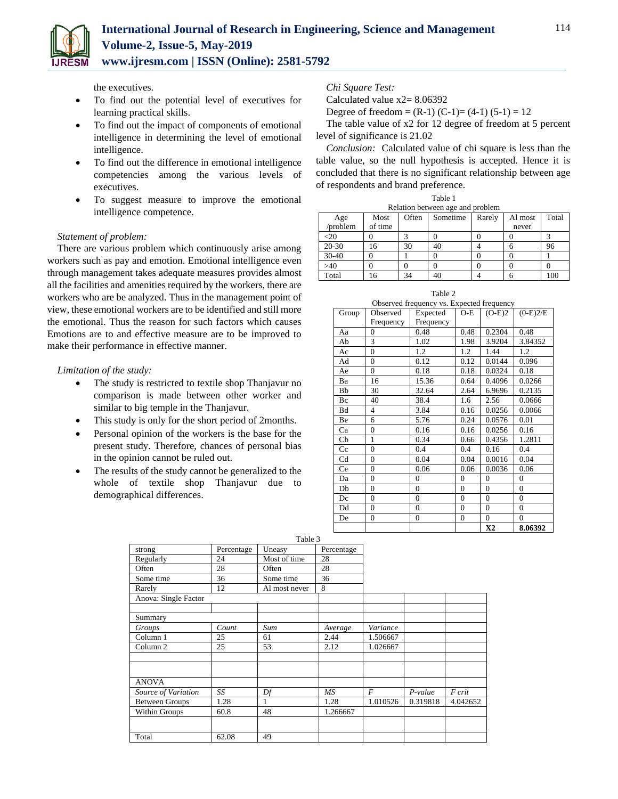the executives.

- To find out the potential level of executives for learning practical skills.
- To find out the impact of components of emotional intelligence in determining the level of emotional intelligence.
- To find out the difference in emotional intelligence competencies among the various levels of executives.
- To suggest measure to improve the emotional intelligence competence.

## *Statement of problem:*

There are various problem which continuously arise among workers such as pay and emotion. Emotional intelligence even through management takes adequate measures provides almost all the facilities and amenities required by the workers, there are workers who are be analyzed. Thus in the management point of view, these emotional workers are to be identified and still more the emotional. Thus the reason for such factors which causes Emotions are to and effective measure are to be improved to make their performance in effective manner.

## *Limitation of the study:*

- The study is restricted to textile shop Thanjavur no comparison is made between other worker and similar to big temple in the Thanjavur.
- This study is only for the short period of 2months.
- Personal opinion of the workers is the base for the present study. Therefore, chances of personal bias in the opinion cannot be ruled out.
- The results of the study cannot be generalized to the whole of textile shop Thanjavur due to demographical differences.

*Chi Square Test:*

Calculated value x2= 8.06392

Degree of freedom =  $(R-1)$   $(C-1)$  =  $(4-1)$   $(5-1)$  = 12

The table value of x2 for 12 degree of freedom at 5 percent level of significance is 21.02

*Conclusion:* Calculated value of chi square is less than the table value, so the null hypothesis is accepted. Hence it is concluded that there is no significant relationship between age of respondents and brand preference.

Table 1

| Relation between age and problem |         |       |          |        |         |       |
|----------------------------------|---------|-------|----------|--------|---------|-------|
| Age                              | Most    | Often | Sometime | Rarely | Al most | Total |
| 'problem                         | of time |       |          |        | never   |       |
| -20                              |         |       |          |        |         |       |
| 20-30                            | 16      | 30    | 40       |        |         | 96    |
| $30 - 40$                        |         |       |          |        |         |       |
| >40                              |         |       |          |        |         |       |
| Total                            | 6       | 34    | 40       |        |         | 100   |

| Table 2                                   |  |
|-------------------------------------------|--|
| Observed frequency vs. Expected frequency |  |

| Group | Observed       | Expected       | O-E              | $(O-E)2$       | $(0-E)2/E$   |
|-------|----------------|----------------|------------------|----------------|--------------|
|       | Frequency      | Frequency      |                  |                |              |
| Aa    | $\mathbf{0}$   | 0.48           | 0.48             | 0.2304         | 0.48         |
| Ab    | 3              | 1.02           | 1.98             | 3.9204         | 3.84352      |
| Ac    | $\overline{0}$ | 1.2            | 1.2              | 1.44           | 1.2          |
| Ad    | $\overline{0}$ | 0.12           | 0.12             | 0.0144         | 0.096        |
| Ae    | $\overline{0}$ | 0.18           | 0.18             | 0.0324         | 0.18         |
| Ba    | 16             | 15.36          | 0.64             | 0.4096         | 0.0266       |
| Bb    | 30             | 32.64          | 2.64             | 6.9696         | 0.2135       |
| Bc    | 40             | 38.4           | 1.6              | 2.56           | 0.0666       |
| Bd    | $\overline{4}$ | 3.84           | 0.16             | 0.0256         | 0.0066       |
| Be    | 6              | 5.76           | 0.24             | 0.0576         | 0.01         |
| Ca    | $\mathbf{0}$   | 0.16           | 0.16             | 0.0256         | 0.16         |
| Cb    | 1              | 0.34           | 0.66             | 0.4356         | 1.2811       |
| Cc    | $\overline{0}$ | 0.4            | 0.4              | 0.16           | 0.4          |
| Cd    | $\mathbf{0}$   | 0.04           | 0.04             | 0.0016         | 0.04         |
| Ce    | $\overline{0}$ | 0.06           | 0.06             | 0.0036         | 0.06         |
| Da    | $\overline{0}$ | $\overline{0}$ | $\boldsymbol{0}$ | $\overline{0}$ | $\mathbf{0}$ |
| Db    | $\mathbf{0}$   | $\overline{0}$ | $\boldsymbol{0}$ | $\overline{0}$ | $\mathbf{0}$ |
| Dc    | $\overline{0}$ | $\overline{0}$ | $\mathbf{0}$     | $\overline{0}$ | $\mathbf{0}$ |
| Dd    | $\mathbf{0}$   | $\overline{0}$ | $\boldsymbol{0}$ | $\overline{0}$ | $\mathbf{0}$ |
| De    | $\overline{0}$ | $\overline{0}$ | $\boldsymbol{0}$ | $\overline{0}$ | $\mathbf{0}$ |
|       |                |                |                  | X <sub>2</sub> | 8.06392      |

|                       |            | Table 3       |            |                |           |          |
|-----------------------|------------|---------------|------------|----------------|-----------|----------|
| strong                | Percentage | Uneasy        | Percentage |                |           |          |
| Regularly             | 24         | Most of time  | 28         |                |           |          |
| Often                 | 28         | Often         | 28         |                |           |          |
| Some time             | 36         | Some time     | 36         |                |           |          |
| Rarely                | 12         | Al most never | 8          |                |           |          |
| Anova: Single Factor  |            |               |            |                |           |          |
|                       |            |               |            |                |           |          |
| Summary               |            |               |            |                |           |          |
| Groups                | Count      | Sum           | Average    | Variance       |           |          |
| Column 1              | 25         | 61            | 2.44       | 1.506667       |           |          |
| Column <sub>2</sub>   | 25         | 53            | 2.12       | 1.026667       |           |          |
|                       |            |               |            |                |           |          |
| <b>ANOVA</b>          |            |               |            |                |           |          |
| Source of Variation   | SS         | Df            | MS         | $\overline{F}$ | $P-value$ | F crit   |
| <b>Between Groups</b> | 1.28       | 1             | 1.28       | 1.010526       | 0.319818  | 4.042652 |
| Within Groups         | 60.8       | 48            | 1.266667   |                |           |          |
|                       |            |               |            |                |           |          |
| Total                 | 62.08      | 49            |            |                |           |          |